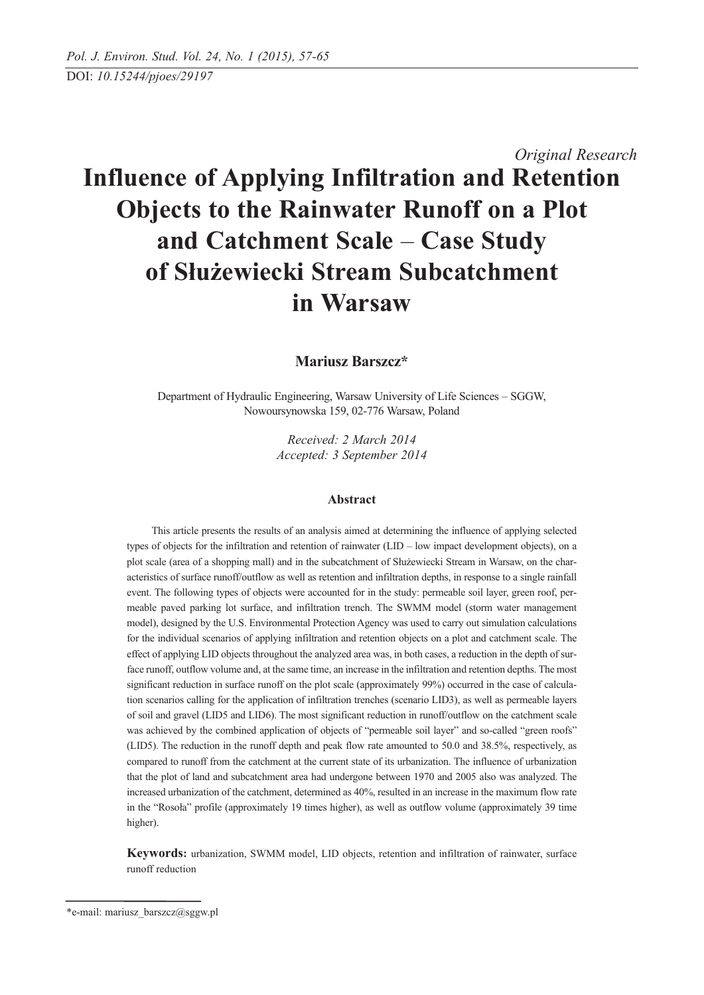# *Original Research* **Influence of Applying Infiltration and Retention Objects to the Rainwater Runoff on a Plot and Catchment Scale** – **Case Study of Służewiecki Stream Subcatchment in Warsaw**

**Mariusz Barszcz\***

Department of Hydraulic Engineering, Warsaw University of Life Sciences – SGGW, Nowoursynowska 159, 02-776 Warsaw, Poland

> *Received: 2 March 2014 Accepted: 3 September 2014*

#### **Abstract**

This article presents the results of an analysis aimed at determining the influence of applying selected types of objects for the infiltration and retention of rainwater (LID – low impact development objects), on a plot scale (area of a shopping mall) and in the subcatchment of Służewiecki Stream in Warsaw, on the characteristics of surface runoff/outflow as well as retention and infiltration depths, in response to a single rainfall event. The following types of objects were accounted for in the study: permeable soil layer, green roof, permeable paved parking lot surface, and infiltration trench. The SWMM model (storm water management model), designed by the U.S. Environmental Protection Agency was used to carry out simulation calculations for the individual scenarios of applying infiltration and retention objects on a plot and catchment scale. The effect of applying LID objects throughout the analyzed area was, in both cases, a reduction in the depth of surface runoff, outflow volume and, at the same time, an increase in the infiltration and retention depths. The most significant reduction in surface runoff on the plot scale (approximately 99%) occurred in the case of calculation scenarios calling for the application of infiltration trenches (scenario LID3), as well as permeable layers of soil and gravel (LID5 and LID6). The most significant reduction in runoff/outflow on the catchment scale was achieved by the combined application of objects of "permeable soil layer" and so-called "green roofs" (LID5). The reduction in the runoff depth and peak flow rate amounted to 50.0 and 38.5%, respectively, as compared to runoff from the catchment at the current state of its urbanization. The influence of urbanization that the plot of land and subcatchment area had undergone between 1970 and 2005 also was analyzed. The increased urbanization of the catchment, determined as 40%, resulted in an increase in the maximum flow rate in the "Rosoła" profile (approximately 19 times higher), as well as outflow volume (approximately 39 time higher).

**Keywords:** urbanization, SWMM model, LID objects, retention and infiltration of rainwater, surface runoff reduction

<sup>\*</sup>e-mail: mariusz\_barszcz@sggw.pl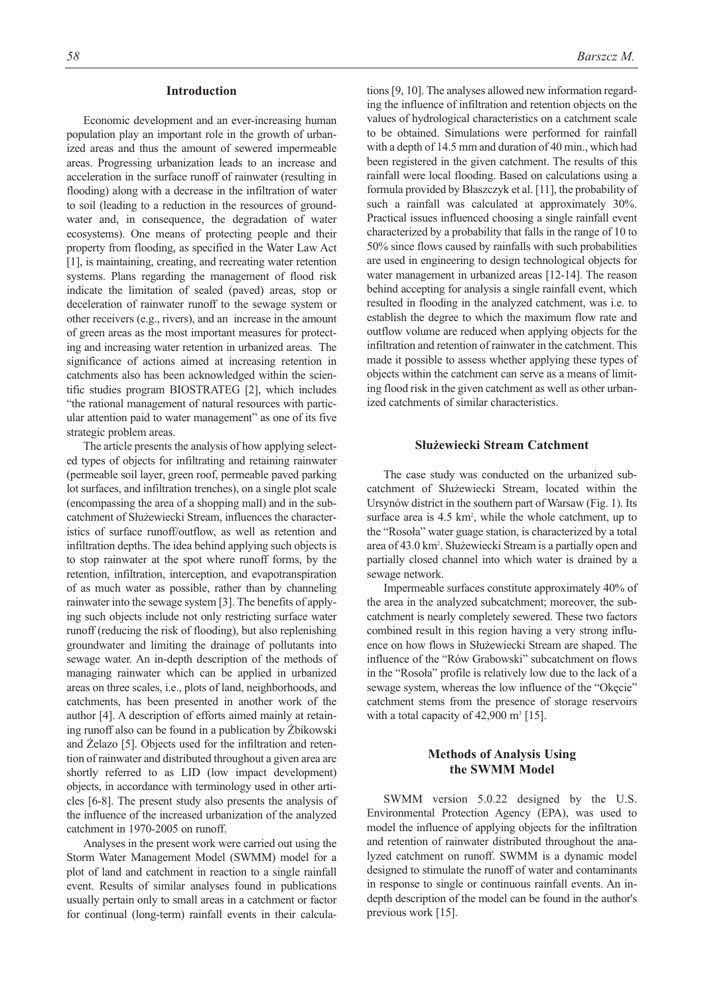#### **Introduction**

Economic development and an ever-increasing human population play an important role in the growth of urbanized areas and thus the amount of sewered impermeable areas. Progressing urbanization leads to an increase and acceleration in the surface runoff of rainwater (resulting in flooding) along with a decrease in the infiltration of water to soil (leading to a reduction in the resources of groundwater and, in consequence, the degradation of water ecosystems). One means of protecting people and their property from flooding, as specified in the Water Law Act [1], is maintaining, creating, and recreating water retention systems. Plans regarding the management of flood risk indicate the limitation of sealed (paved) areas, stop or deceleration of rainwater runoff to the sewage system or other receivers (e.g., rivers), and an increase in the amount of green areas as the most important measures for protecting and increasing water retention in urbanized areas. The significance of actions aimed at increasing retention in catchments also has been acknowledged within the scientific studies program BIOSTRATEG [2], which includes "the rational management of natural resources with particular attention paid to water management" as one of its five strategic problem areas.

The article presents the analysis of how applying selected types of objects for infiltrating and retaining rainwater (permeable soil layer, green roof, permeable paved parking lot surfaces, and infiltration trenches), on a single plot scale (encompassing the area of a shopping mall) and in the subcatchment of Służewiecki Stream, influences the characteristics of surface runoff/outflow, as well as retention and infiltration depths. The idea behind applying such objects is to stop rainwater at the spot where runoff forms, by the retention, infiltration, interception, and evapotranspiration of as much water as possible, rather than by channeling rainwater into the sewage system [3]. The benefits of applying such objects include not only restricting surface water runoff (reducing the risk of flooding), but also replenishing groundwater and limiting the drainage of pollutants into sewage water. An in-depth description of the methods of managing rainwater which can be applied in urbanized areas on three scales, i.e., plots of land, neighborhoods, and catchments, has been presented in another work of the author [4]. A description of efforts aimed mainly at retaining runoff also can be found in a publication by Żbikowski and Żelazo [5]. Objects used for the infiltration and retention of rainwater and distributed throughout a given area are shortly referred to as LID (low impact development) objects, in accordance with terminology used in other articles [6-8]. The present study also presents the analysis of the influence of the increased urbanization of the analyzed catchment in 1970-2005 on runoff.

Analyses in the present work were carried out using the Storm Water Management Model (SWMM) model for a plot of land and catchment in reaction to a single rainfall event. Results of similar analyses found in publications usually pertain only to small areas in a catchment or factor for continual (long-term) rainfall events in their calculations [9, 10]. The analyses allowed new information regarding the influence of infiltration and retention objects on the values of hydrological characteristics on a catchment scale to be obtained. Simulations were performed for rainfall with a depth of 14.5 mm and duration of 40 min., which had been registered in the given catchment. The results of this rainfall were local flooding. Based on calculations using a formula provided by Błaszczyk et al. [11], the probability of such a rainfall was calculated at approximately 30%. Practical issues influenced choosing a single rainfall event characterized by a probability that falls in the range of 10 to 50% since flows caused by rainfalls with such probabilities are used in engineering to design technological objects for water management in urbanized areas [12-14]. The reason behind accepting for analysis a single rainfall event, which resulted in flooding in the analyzed catchment, was i.e. to establish the degree to which the maximum flow rate and outflow volume are reduced when applying objects for the infiltration and retention of rainwater in the catchment. This made it possible to assess whether applying these types of objects within the catchment can serve as a means of limiting flood risk in the given catchment as well as other urbanized catchments of similar characteristics.

## **Służewiecki Stream Catchment**

The case study was conducted on the urbanized subcatchment of Służewiecki Stream, located within the Ursynów district in the southern part of Warsaw (Fig. 1). Its surface area is 4.5 km<sup>2</sup>, while the whole catchment, up to the "Rosoła" water guage station, is characterized by a total area of 43.0 km2 . Służewiecki Stream is a partially open and partially closed channel into which water is drained by a sewage network.

Impermeable surfaces constitute approximately 40% of the area in the analyzed subcatchment; moreover, the subcatchment is nearly completely sewered. These two factors combined result in this region having a very strong influence on how flows in Służewiecki Stream are shaped. The influence of the "Rów Grabowski" subcatchment on flows in the "Rosoła" profile is relatively low due to the lack of a sewage system, whereas the low influence of the "Okęcie" catchment stems from the presence of storage reservoirs with a total capacity of  $42,900$  m<sup>3</sup> [15].

# **Methods of Analysis Using the SWMM Model**

SWMM version 5.0.22 designed by the U.S. Environmental Protection Agency (EPA), was used to model the influence of applying objects for the infiltration and retention of rainwater distributed throughout the analyzed catchment on runoff. SWMM is a dynamic model designed to stimulate the runoff of water and contaminants in response to single or continuous rainfall events. An indepth description of the model can be found in the author's previous work [15].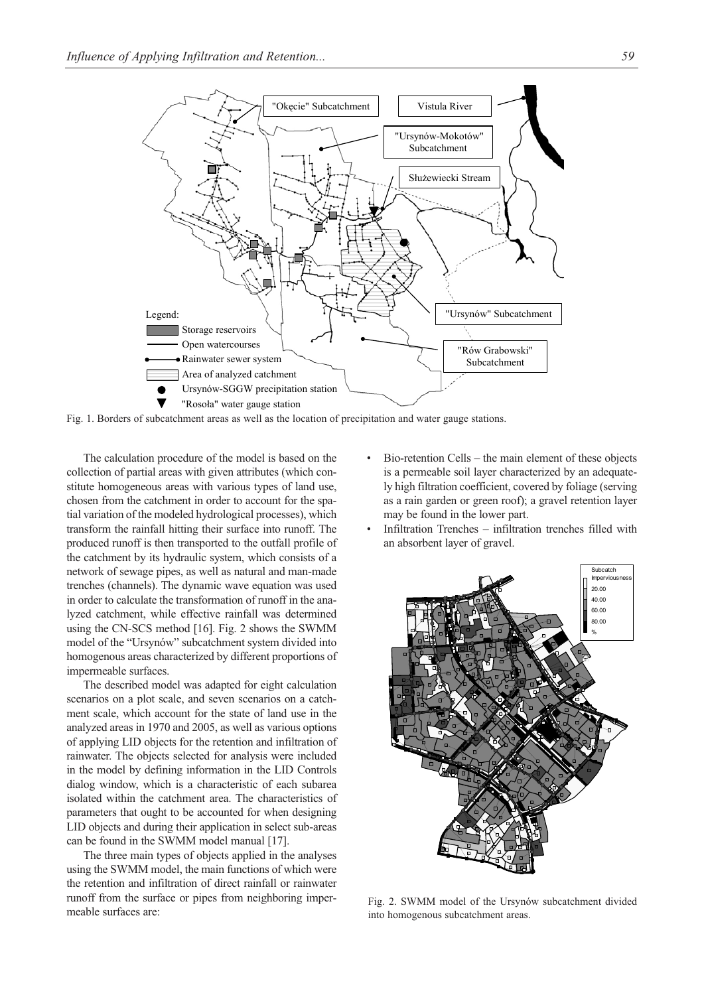

Fig. 1. Borders of subcatchment areas as well as the location of precipitation and water gauge stations.

The calculation procedure of the model is based on the collection of partial areas with given attributes (which constitute homogeneous areas with various types of land use, chosen from the catchment in order to account for the spatial variation of the modeled hydrological processes), which transform the rainfall hitting their surface into runoff. The produced runoff is then transported to the outfall profile of the catchment by its hydraulic system, which consists of a network of sewage pipes, as well as natural and man-made trenches (channels). The dynamic wave equation was used in order to calculate the transformation of runoff in the analyzed catchment, while effective rainfall was determined using the CN-SCS method [16]. Fig. 2 shows the SWMM model of the "Ursynów" subcatchment system divided into homogenous areas characterized by different proportions of impermeable surfaces.

The described model was adapted for eight calculation scenarios on a plot scale, and seven scenarios on a catchment scale, which account for the state of land use in the analyzed areas in 1970 and 2005, as well as various options of applying LID objects for the retention and infiltration of rainwater. The objects selected for analysis were included in the model by defining information in the LID Controls dialog window, which is a characteristic of each subarea isolated within the catchment area. The characteristics of parameters that ought to be accounted for when designing LID objects and during their application in select sub-areas can be found in the SWMM model manual [17].

The three main types of objects applied in the analyses using the SWMM model, the main functions of which were the retention and infiltration of direct rainfall or rainwater runoff from the surface or pipes from neighboring impermeable surfaces are:

- Bio-retention Cells the main element of these objects is a permeable soil layer characterized by an adequately high filtration coefficient, covered by foliage (serving as a rain garden or green roof); a gravel retention layer may be found in the lower part.
- Infiltration Trenches infiltration trenches filled with an absorbent layer of gravel.



Fig. 2. SWMM model of the Ursynów subcatchment divided into homogenous subcatchment areas.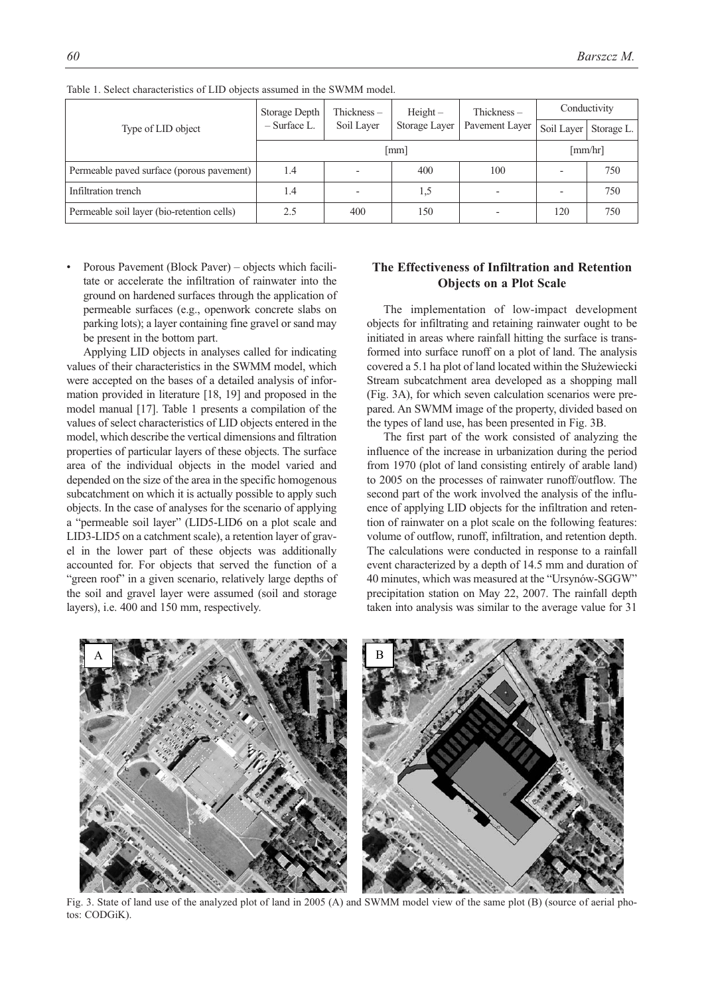| Type of LID object                         | Storage Depth  | Thickness $-$ | $Height -$    | Thickness $-$            | Conductivity |            |  |
|--------------------------------------------|----------------|---------------|---------------|--------------------------|--------------|------------|--|
|                                            | $-$ Surface L. | Soil Layer    | Storage Layer | Pavement Layer           | Soil Layer   | Storage L. |  |
|                                            |                | [mm/hr]       |               |                          |              |            |  |
| Permeable paved surface (porous pavement)  | 1.4            |               | 400           | 100                      |              | 750        |  |
| Infiltration trench                        | 1.4            |               | 1,5           | $\overline{\phantom{0}}$ |              | 750        |  |
| Permeable soil layer (bio-retention cells) | 2.5            | 400           | 150           |                          | 120          | 750        |  |

Table 1. Select characteristics of LID objects assumed in the SWMM model.

• Porous Pavement (Block Paver) – objects which facilitate or accelerate the infiltration of rainwater into the ground on hardened surfaces through the application of permeable surfaces (e.g., openwork concrete slabs on parking lots); a layer containing fine gravel or sand may be present in the bottom part.

Applying LID objects in analyses called for indicating values of their characteristics in the SWMM model, which were accepted on the bases of a detailed analysis of information provided in literature [18, 19] and proposed in the model manual [17]. Table 1 presents a compilation of the values of select characteristics of LID objects entered in the model, which describe the vertical dimensions and filtration properties of particular layers of these objects. The surface area of the individual objects in the model varied and depended on the size of the area in the specific homogenous subcatchment on which it is actually possible to apply such objects. In the case of analyses for the scenario of applying a "permeable soil layer" (LID5-LID6 on a plot scale and LID3-LID5 on a catchment scale), a retention layer of gravel in the lower part of these objects was additionally accounted for. For objects that served the function of a "green roof" in a given scenario, relatively large depths of the soil and gravel layer were assumed (soil and storage layers), i.e. 400 and 150 mm, respectively.

## **The Effectiveness of Infiltration and Retention Objects on a Plot Scale**

The implementation of low-impact development objects for infiltrating and retaining rainwater ought to be initiated in areas where rainfall hitting the surface is transformed into surface runoff on a plot of land. The analysis covered a 5.1 ha plot of land located within the Służewiecki Stream subcatchment area developed as a shopping mall (Fig. 3A), for which seven calculation scenarios were prepared. An SWMM image of the property, divided based on the types of land use, has been presented in Fig. 3B.

The first part of the work consisted of analyzing the influence of the increase in urbanization during the period from 1970 (plot of land consisting entirely of arable land) to 2005 on the processes of rainwater runoff/outflow. The second part of the work involved the analysis of the influence of applying LID objects for the infiltration and retention of rainwater on a plot scale on the following features: volume of outflow, runoff, infiltration, and retention depth. The calculations were conducted in response to a rainfall event characterized by a depth of 14.5 mm and duration of 40 minutes, which was measured at the "Ursynów-SGGW" precipitation station on May 22, 2007. The rainfall depth taken into analysis was similar to the average value for 31



Fig. 3. State of land use of the analyzed plot of land in 2005 (A) and SWMM model view of the same plot (B) (source of aerial photos: CODGiK).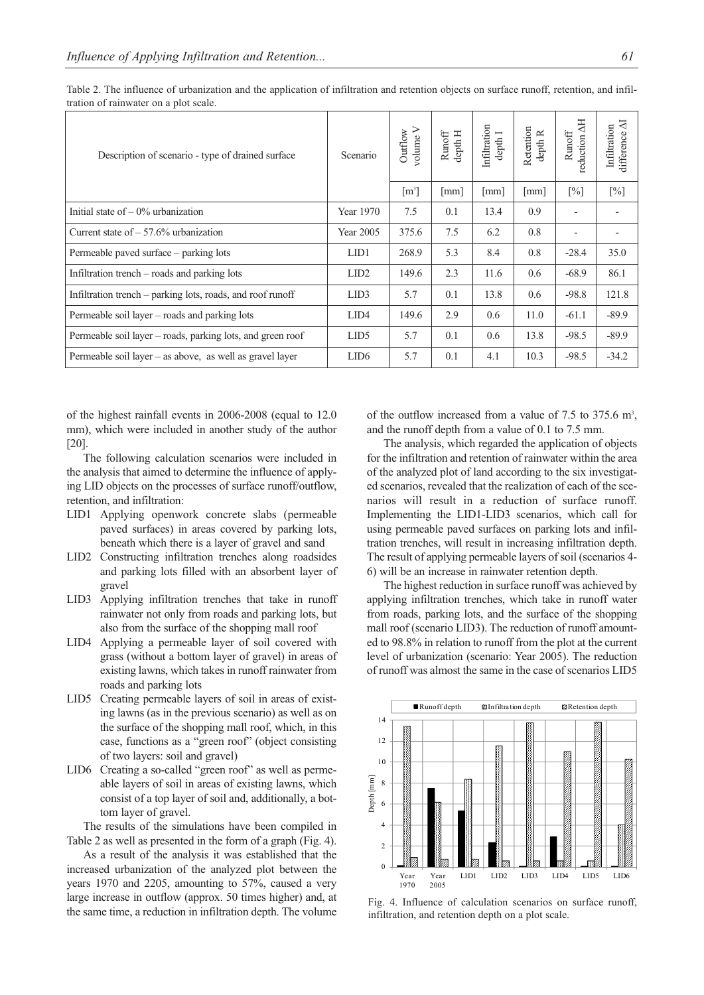| Description of scenario - type of drained surface          | Scenario         | ➢<br>Outflow<br>volume | depth H<br>Runoff    | Infiltration<br>depth I | Retention<br>depth R | reduction AH<br>$\ensuremath{\mathsf{Runoff}}$ | ਬ<br>Infiltration<br>difference |
|------------------------------------------------------------|------------------|------------------------|----------------------|-------------------------|----------------------|------------------------------------------------|---------------------------------|
|                                                            |                  | $\lceil m^3 \rceil$    | $\lceil$ mm $\rceil$ | [mm]                    | [mm]                 | $[\%]$                                         | $[\%]$                          |
| Initial state of $-0\%$ urbanization                       | Year 1970        | 7.5                    | 0.1                  | 13.4                    | 0.9                  |                                                |                                 |
| Current state of $-57.6\%$ urbanization                    | Year 2005        | 375.6                  | 7.5                  | 6.2                     | 0.8                  | $\overline{\phantom{a}}$                       |                                 |
| Permeable paved surface – parking lots                     | LID1             | 268.9                  | 5.3                  | 8.4                     | 0.8                  | $-28.4$                                        | 35.0                            |
| Infiltration trench $-$ roads and parking lots             | LID <sub>2</sub> | 149.6                  | 2.3                  | 11.6                    | 0.6                  | $-68.9$                                        | 86.1                            |
| Infiltration trench – parking lots, roads, and roof runoff | LID <sub>3</sub> | 5.7                    | 0.1                  | 13.8                    | 0.6                  | $-98.8$                                        | 121.8                           |
| Permeable soil layer – roads and parking lots              | LID <sub>4</sub> | 149.6                  | 2.9                  | 0.6                     | 11.0                 | $-61.1$                                        | $-89.9$                         |
| Permeable soil layer – roads, parking lots, and green roof | LID <sub>5</sub> | 5.7                    | 0.1                  | 0.6                     | 13.8                 | $-98.5$                                        | $-89.9$                         |
| Permeable soil layer $-$ as above, as well as gravel layer | LID <sub>6</sub> | 5.7                    | 0.1                  | 4.1                     | 10.3                 | $-98.5$                                        | $-34.2$                         |

Table 2. The influence of urbanization and the application of infiltration and retention objects on surface runoff, retention, and infiltration of rainwater on a plot scale.

of the highest rainfall events in 2006-2008 (equal to 12.0 mm), which were included in another study of the author [20].

The following calculation scenarios were included in the analysis that aimed to determine the influence of applying LID objects on the processes of surface runoff/outflow, retention, and infiltration:

- LID1 Applying openwork concrete slabs (permeable paved surfaces) in areas covered by parking lots, beneath which there is a layer of gravel and sand
- LID2 Constructing infiltration trenches along roadsides and parking lots filled with an absorbent layer of gravel
- LID3 Applying infiltration trenches that take in runoff rainwater not only from roads and parking lots, but also from the surface of the shopping mall roof
- LID4 Applying a permeable layer of soil covered with grass (without a bottom layer of gravel) in areas of existing lawns, which takes in runoff rainwater from roads and parking lots
- LID5 Creating permeable layers of soil in areas of existing lawns (as in the previous scenario) as well as on the surface of the shopping mall roof, which, in this case, functions as a "green roof" (object consisting of two layers: soil and gravel)
- LID6 Creating a so-called "green roof" as well as permeable layers of soil in areas of existing lawns, which consist of a top layer of soil and, additionally, a bottom layer of gravel.

The results of the simulations have been compiled in Table 2 as well as presented in the form of a graph (Fig. 4).

As a result of the analysis it was established that the increased urbanization of the analyzed plot between the years 1970 and 2205, amounting to 57%, caused a very large increase in outflow (approx. 50 times higher) and, at the same time, a reduction in infiltration depth. The volume

of the outflow increased from a value of 7.5 to 375.6  $m<sup>3</sup>$ , and the runoff depth from a value of 0.1 to 7.5 mm.

The analysis, which regarded the application of objects for the infiltration and retention of rainwater within the area of the analyzed plot of land according to the six investigated scenarios, revealed that the realization of each of the scenarios will result in a reduction of surface runoff. Implementing the LID1-LID3 scenarios, which call for using permeable paved surfaces on parking lots and infiltration trenches, will result in increasing infiltration depth. The result of applying permeable layers of soil (scenarios 4- 6) will be an increase in rainwater retention depth.

The highest reduction in surface runoff was achieved by applying infiltration trenches, which take in runoff water from roads, parking lots, and the surface of the shopping mall roof (scenario LID3). The reduction of runoff amounted to 98.8% in relation to runoff from the plot at the current level of urbanization (scenario: Year 2005). The reduction of runoff was almost the same in the case of scenarios LID5



Fig. 4. Influence of calculation scenarios on surface runoff, infiltration, and retention depth on a plot scale.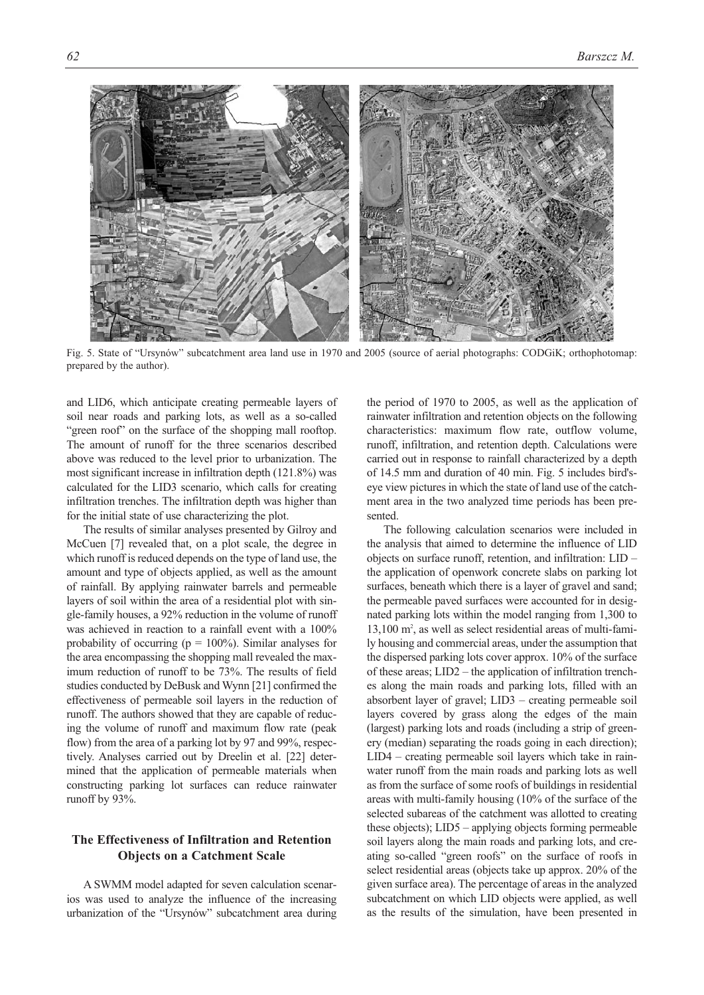

Fig. 5. State of "Ursynów" subcatchment area land use in 1970 and 2005 (source of aerial photographs: CODGiK; orthophotomap: prepared by the author).

and LID6, which anticipate creating permeable layers of soil near roads and parking lots, as well as a so-called "green roof" on the surface of the shopping mall rooftop. The amount of runoff for the three scenarios described above was reduced to the level prior to urbanization. The most significant increase in infiltration depth (121.8%) was calculated for the LID3 scenario, which calls for creating infiltration trenches. The infiltration depth was higher than for the initial state of use characterizing the plot.

The results of similar analyses presented by Gilroy and McCuen [7] revealed that, on a plot scale, the degree in which runoff is reduced depends on the type of land use, the amount and type of objects applied, as well as the amount of rainfall. By applying rainwater barrels and permeable layers of soil within the area of a residential plot with single-family houses, a 92% reduction in the volume of runoff was achieved in reaction to a rainfall event with a 100% probability of occurring ( $p = 100\%$ ). Similar analyses for the area encompassing the shopping mall revealed the maximum reduction of runoff to be 73%. The results of field studies conducted by DeBusk and Wynn [21] confirmed the effectiveness of permeable soil layers in the reduction of runoff. The authors showed that they are capable of reducing the volume of runoff and maximum flow rate (peak flow) from the area of a parking lot by 97 and 99%, respectively. Analyses carried out by Dreelin et al. [22] determined that the application of permeable materials when constructing parking lot surfaces can reduce rainwater runoff by 93%.

# **The Effectiveness of Infiltration and Retention Objects on a Catchment Scale**

A SWMM model adapted for seven calculation scenarios was used to analyze the influence of the increasing urbanization of the "Ursynów" subcatchment area during the period of 1970 to 2005, as well as the application of rainwater infiltration and retention objects on the following characteristics: maximum flow rate, outflow volume, runoff, infiltration, and retention depth. Calculations were carried out in response to rainfall characterized by a depth of 14.5 mm and duration of 40 min. Fig. 5 includes bird'seye view pictures in which the state of land use of the catchment area in the two analyzed time periods has been presented.

The following calculation scenarios were included in the analysis that aimed to determine the influence of LID objects on surface runoff, retention, and infiltration: LID – the application of openwork concrete slabs on parking lot surfaces, beneath which there is a layer of gravel and sand; the permeable paved surfaces were accounted for in designated parking lots within the model ranging from 1,300 to 13,100 m<sup>2</sup>, as well as select residential areas of multi-family housing and commercial areas, under the assumption that the dispersed parking lots cover approx. 10% of the surface of these areas; LID2 – the application of infiltration trenches along the main roads and parking lots, filled with an absorbent layer of gravel; LID3 – creating permeable soil layers covered by grass along the edges of the main (largest) parking lots and roads (including a strip of greenery (median) separating the roads going in each direction); LID4 – creating permeable soil layers which take in rainwater runoff from the main roads and parking lots as well as from the surface of some roofs of buildings in residential areas with multi-family housing (10% of the surface of the selected subareas of the catchment was allotted to creating these objects); LID5 – applying objects forming permeable soil layers along the main roads and parking lots, and creating so-called "green roofs" on the surface of roofs in select residential areas (objects take up approx. 20% of the given surface area). The percentage of areas in the analyzed subcatchment on which LID objects were applied, as well as the results of the simulation, have been presented in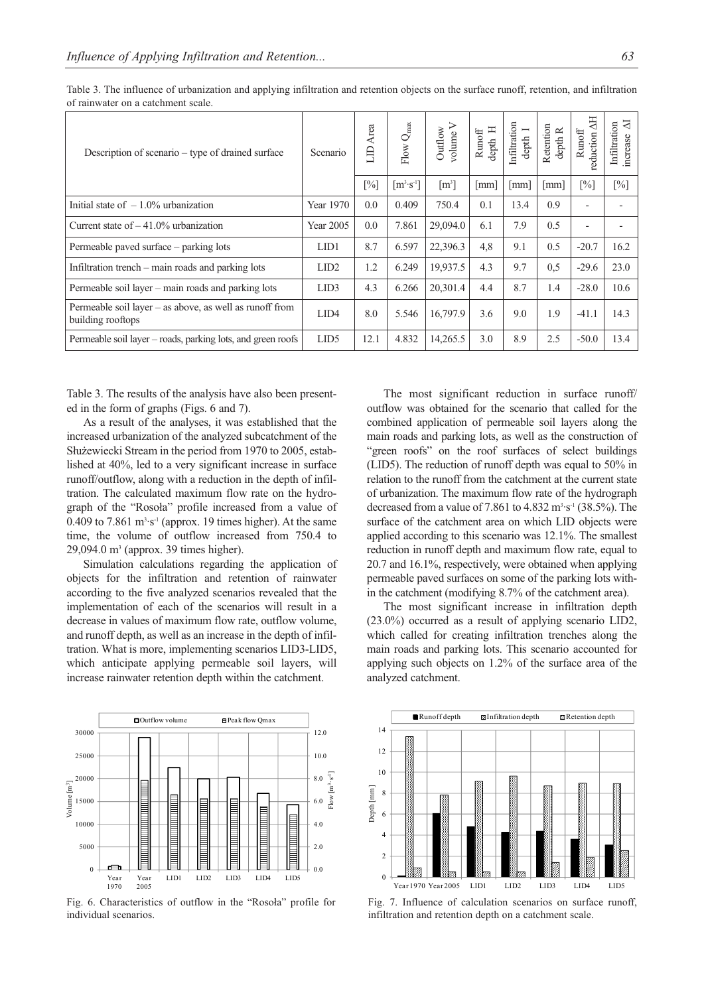| Description of scenario – type of drained surface                              | Scenario         | Area<br>$\exists$ | Flow $Q_{\rm max}$   | Outflow<br>volume   | 耳<br>$\ensuremath{\mathsf{Runoff}}$<br>$\mathrm{depth}$ | Infiltration<br>$\overline{\phantom{a}}$<br>$\operatorname{depth}$ | Retention<br>$depth R$ | reduction AH<br>$\ensuremath{\text{\textbf{Runoff}}}$ | $\overline{N}$<br>Infiltration<br>increase |
|--------------------------------------------------------------------------------|------------------|-------------------|----------------------|---------------------|---------------------------------------------------------|--------------------------------------------------------------------|------------------------|-------------------------------------------------------|--------------------------------------------|
|                                                                                |                  | $[\%]$            | $[m^3 \cdot s^{-1}]$ | $\lceil m^3 \rceil$ | $\lceil$ mm $\rceil$                                    | [mm]                                                               | $\lceil$ mm $\rceil$   | $[\%]$                                                | $[\%]$                                     |
| Initial state of $-1.0\%$ urbanization                                         | Year 1970        | 0.0               | 0.409                | 750.4               | 0.1                                                     | 13.4                                                               | 0.9                    | $\overline{a}$                                        |                                            |
| Current state of $-41.0\%$ urbanization                                        | Year 2005        | 0.0               | 7.861                | 29,094.0            | 6.1                                                     | 7.9                                                                | 0.5                    | $\overline{\phantom{a}}$                              |                                            |
| Permeable paved surface – parking lots                                         | LID1             | 8.7               | 6.597                | 22,396.3            | 4,8                                                     | 9.1                                                                | 0.5                    | $-20.7$                                               | 16.2                                       |
| Infiltration trench – main roads and parking lots                              | LID <sub>2</sub> | 1.2               | 6.249                | 19,937.5            | 4.3                                                     | 9.7                                                                | 0,5                    | $-29.6$                                               | 23.0                                       |
| Permeable soil layer - main roads and parking lots                             | LID <sub>3</sub> | 4.3               | 6.266                | 20,301.4            | 4.4                                                     | 8.7                                                                | 1.4                    | $-28.0$                                               | 10.6                                       |
| Permeable soil layer $-$ as above, as well as runoff from<br>building rooftops | LID <sub>4</sub> | 8.0               | 5.546                | 16,797.9            | 3.6                                                     | 9.0                                                                | 1.9                    | $-41.1$                                               | 14.3                                       |
| Permeable soil layer – roads, parking lots, and green roofs                    | LID <sub>5</sub> | 12.1              | 4.832                | 14,265.5            | 3.0                                                     | 8.9                                                                | 2.5                    | $-50.0$                                               | 13.4                                       |

Table 3. The influence of urbanization and applying infiltration and retention objects on the surface runoff, retention, and infiltration of rainwater on a catchment scale.

Table 3. The results of the analysis have also been presented in the form of graphs (Figs. 6 and 7).

As a result of the analyses, it was established that the increased urbanization of the analyzed subcatchment of the Służewiecki Stream in the period from 1970 to 2005, established at 40%, led to a very significant increase in surface runoff/outflow, along with a reduction in the depth of infiltration. The calculated maximum flow rate on the hydrograph of the "Rosoła" profile increased from a value of 0.409 to  $7.861 \text{ m}^3 \cdot \text{s}^{-1}$  (approx. 19 times higher). At the same time, the volume of outflow increased from 750.4 to 29,094.0 m3 (approx. 39 times higher).

Simulation calculations regarding the application of objects for the infiltration and retention of rainwater according to the five analyzed scenarios revealed that the implementation of each of the scenarios will result in a decrease in values of maximum flow rate, outflow volume, and runoff depth, as well as an increase in the depth of infiltration. What is more, implementing scenarios LID3-LID5, which anticipate applying permeable soil layers, will increase rainwater retention depth within the catchment.

The most significant reduction in surface runoff/ outflow was obtained for the scenario that called for the combined application of permeable soil layers along the main roads and parking lots, as well as the construction of "green roofs" on the roof surfaces of select buildings (LID5). The reduction of runoff depth was equal to 50% in relation to the runoff from the catchment at the current state of urbanization. The maximum flow rate of the hydrograph decreased from a value of 7.861 to  $4.832 \text{ m}^3 \cdot \text{s}^{-1}$  (38.5%). The surface of the catchment area on which LID objects were applied according to this scenario was 12.1%. The smallest reduction in runoff depth and maximum flow rate, equal to 20.7 and 16.1%, respectively, were obtained when applying permeable paved surfaces on some of the parking lots within the catchment (modifying 8.7% of the catchment area).

The most significant increase in infiltration depth (23.0%) occurred as a result of applying scenario LID2, which called for creating infiltration trenches along the main roads and parking lots. This scenario accounted for applying such objects on 1.2% of the surface area of the analyzed catchment.



Fig. 6. Characteristics of outflow in the "Rosoła" profile for individual scenarios.



Fig. 7. Influence of calculation scenarios on surface runoff, infiltration and retention depth on a catchment scale.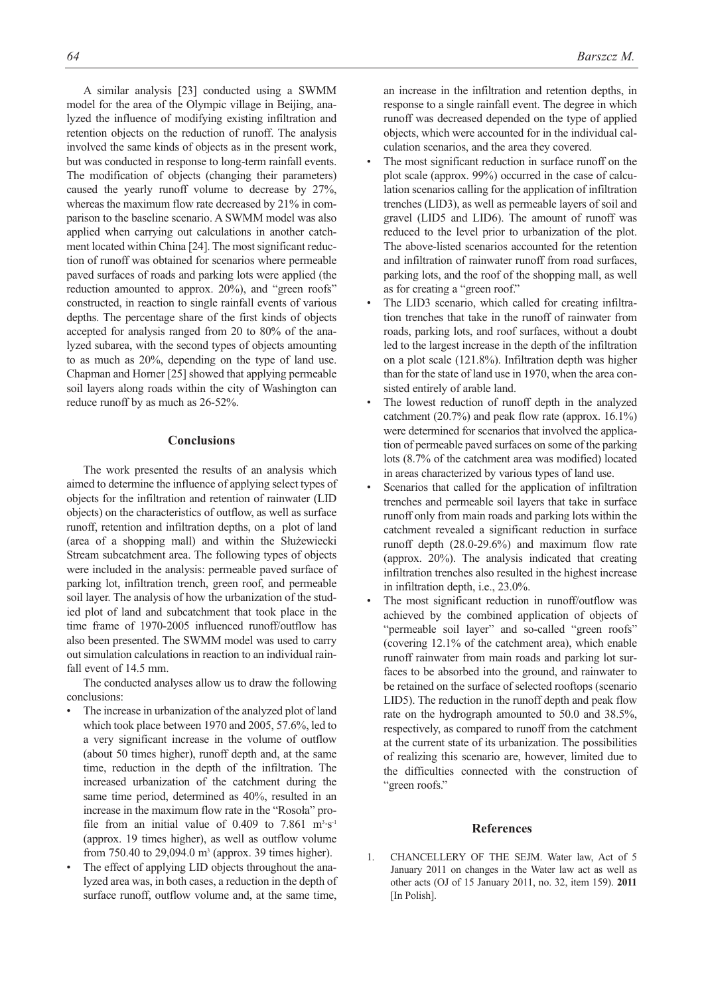A similar analysis [23] conducted using a SWMM model for the area of the Olympic village in Beijing, analyzed the influence of modifying existing infiltration and retention objects on the reduction of runoff. The analysis involved the same kinds of objects as in the present work, but was conducted in response to long-term rainfall events. The modification of objects (changing their parameters) caused the yearly runoff volume to decrease by 27%, whereas the maximum flow rate decreased by 21% in comparison to the baseline scenario. A SWMM model was also applied when carrying out calculations in another catchment located within China [24]. The most significant reduction of runoff was obtained for scenarios where permeable paved surfaces of roads and parking lots were applied (the reduction amounted to approx. 20%), and "green roofs" constructed, in reaction to single rainfall events of various depths. The percentage share of the first kinds of objects accepted for analysis ranged from 20 to 80% of the analyzed subarea, with the second types of objects amounting to as much as 20%, depending on the type of land use. Chapman and Horner [25] showed that applying permeable soil layers along roads within the city of Washington can reduce runoff by as much as 26-52%.

#### **Conclusions**

The work presented the results of an analysis which aimed to determine the influence of applying select types of objects for the infiltration and retention of rainwater (LID objects) on the characteristics of outflow, as well as surface runoff, retention and infiltration depths, on a plot of land (area of a shopping mall) and within the Służewiecki Stream subcatchment area. The following types of objects were included in the analysis: permeable paved surface of parking lot, infiltration trench, green roof, and permeable soil layer. The analysis of how the urbanization of the studied plot of land and subcatchment that took place in the time frame of 1970-2005 influenced runoff/outflow has also been presented. The SWMM model was used to carry out simulation calculations in reaction to an individual rainfall event of 14.5 mm.

The conducted analyses allow us to draw the following conclusions:

- The increase in urbanization of the analyzed plot of land which took place between 1970 and 2005, 57.6%, led to a very significant increase in the volume of outflow (about 50 times higher), runoff depth and, at the same time, reduction in the depth of the infiltration. The increased urbanization of the catchment during the same time period, determined as 40%, resulted in an increase in the maximum flow rate in the "Rosoła" profile from an initial value of 0.409 to 7.861  $m<sup>3</sup> \cdot s<sup>-1</sup>$ (approx. 19 times higher), as well as outflow volume from 750.40 to 29,094.0  $m^3$  (approx. 39 times higher).
- The effect of applying LID objects throughout the analyzed area was, in both cases, a reduction in the depth of surface runoff, outflow volume and, at the same time,

an increase in the infiltration and retention depths, in response to a single rainfall event. The degree in which runoff was decreased depended on the type of applied objects, which were accounted for in the individual calculation scenarios, and the area they covered.

- The most significant reduction in surface runoff on the plot scale (approx. 99%) occurred in the case of calculation scenarios calling for the application of infiltration trenches (LID3), as well as permeable layers of soil and gravel (LID5 and LID6). The amount of runoff was reduced to the level prior to urbanization of the plot. The above-listed scenarios accounted for the retention and infiltration of rainwater runoff from road surfaces, parking lots, and the roof of the shopping mall, as well as for creating a "green roof."
- The LID3 scenario, which called for creating infiltration trenches that take in the runoff of rainwater from roads, parking lots, and roof surfaces, without a doubt led to the largest increase in the depth of the infiltration on a plot scale (121.8%). Infiltration depth was higher than for the state of land use in 1970, when the area consisted entirely of arable land.
- The lowest reduction of runoff depth in the analyzed catchment (20.7%) and peak flow rate (approx. 16.1%) were determined for scenarios that involved the application of permeable paved surfaces on some of the parking lots (8.7% of the catchment area was modified) located in areas characterized by various types of land use.
- Scenarios that called for the application of infiltration trenches and permeable soil layers that take in surface runoff only from main roads and parking lots within the catchment revealed a significant reduction in surface runoff depth (28.0-29.6%) and maximum flow rate (approx. 20%). The analysis indicated that creating infiltration trenches also resulted in the highest increase in infiltration depth, i.e., 23.0%.
- The most significant reduction in runoff/outflow was achieved by the combined application of objects of "permeable soil layer" and so-called "green roofs" (covering 12.1% of the catchment area), which enable runoff rainwater from main roads and parking lot surfaces to be absorbed into the ground, and rainwater to be retained on the surface of selected rooftops (scenario LID5). The reduction in the runoff depth and peak flow rate on the hydrograph amounted to 50.0 and 38.5%, respectively, as compared to runoff from the catchment at the current state of its urbanization. The possibilities of realizing this scenario are, however, limited due to the difficulties connected with the construction of "green roofs."

#### **References**

1. CHANCELLERY OF THE SEJM. Water law, Act of 5 January 2011 on changes in the Water law act as well as other acts (OJ of 15 January 2011, no. 32, item 159). **2011** [In Polish]